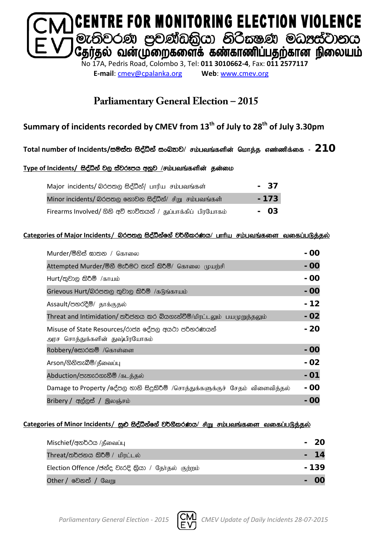

**E-mail**: [cmev@cpalanka.org](mailto:cmev@cpalanka.org) **Web**: [www.cmev.org](http://www.cmev.org/)

### **Parliamentary General Election – 2015**

### **Summary of incidents recorded by CMEV from 13th of July to 28th of July 3.30pm**

#### Total number of Incidents/සම්ස්ත සිද්ධීන් සංඛ**නව/ சம்பவங்களின் மொத்த**ாண்ணிக்கை - 210

#### Type of Incidents/ සිද්ධීන් වල ස්වරූපය අනූව /சம்பவங்களின் தன்மை

| Major incidents/ @ Osmo සිද්ධීන්/ பாரிய சம்பவங்கள்           | - 37  |  |
|--------------------------------------------------------------|-------|--|
| Minor incidents/ බරපතල නොවන සිද්ධීන්/ சிறு சம்பவங்கள்        | - 173 |  |
| Firearms Involved/ ගිනි අවි භාවිතයන් / துப்பாக்கிப் பிரயோகம் | - 03  |  |

#### **Categories of Major Incidents/** nrm;, i so aëkaf. a j¾. SlrKh**/** ghhpa rk;gtq ;fis tifg ;gLj;jy ;

| Мurder/මිනිස් ඝාතන / கொலை                                                            | - 00  |
|--------------------------------------------------------------------------------------|-------|
| Attempted Murder/මිනී මැරීමට තැත් කිරීම්/ கொலை முயற்சி                               | - 00  |
| Hurt/තුවාල කිරීම් /காயம்                                                             | - 00  |
| Grievous Hurt/බරපතල තුවාල කිරීම් /கடுங்காயம்                                         | - 00  |
| Assault/පහරදීම්/ தாக்குதல்                                                           | - 12  |
| Threat and Intimidation/ තර්ජනය කර බියගැන්වීම්/மிரட்டலும் பயமுறுத்தலும்              | $-02$ |
| Misuse of State Resources/රාජන දේපල අයථා පරිතරණයන්<br>அரச சொத்துக்களின் துஷ்பிரயோகம் | - 20  |
| Robbery/க்கூ்கூ® /கொள்ளை                                                             | - 00  |
| Arson/ගිනිතැබීම්/தீவைப்பு                                                            | - 02  |
| Abduction/පැහැරගැනීම් /கடத்தல்                                                       | - 01  |
| Damage to Property /දේපල හානි සිදුකිරීම් /சொத்துக்களுக்குச் சேதம் விளைவித்தல்        | - 00  |
| Bribery / අල්ලස් / இலஞ்சம்                                                           | - 00  |

#### Categories of Minor Incidents/ සුළු සිද්ධීන්ගේ වර්ගීකරණය/ சிறு சம்பவங்களை வகைப்படுத்தல்

| Mischief/අනර්ථය /தீவைப்பு                           | - 20  |
|-----------------------------------------------------|-------|
| Threat/තර්ජනය කිරීම් / மிரட்டல்                     | $-14$ |
| Election Offence /ජන්ද වැරදි කියා / சேர்தல் குற்றம் | - 139 |
| Other / වෙනත් / வேறு                                |       |

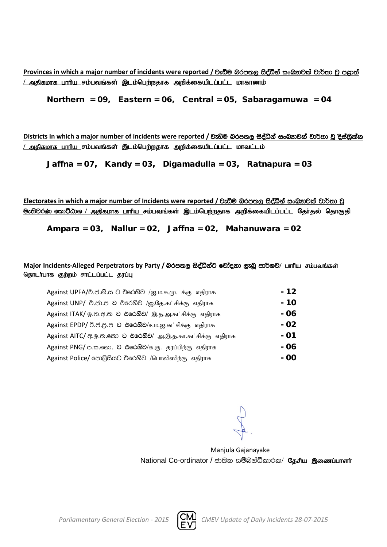**Provinces** in which a major number of incidents were reported / වැඩිම බරපතල සිද්ධීන් සංඛතාවක් වාර්තා වූ පළාත් <u>/ அகிகமாக பாரிய சம்பவங்கள் இடம்பெற்றதாக அறிக்கையிடப்பட்ட மாகாணம்</u>

Northern = 09, Eastern = 06, Central = 05, Sabaragamuwa = 04

**Districts in which a major number of incidents were reported / වැඩිම බරපතල සිද්ධීන් සංඛතාවක් වාර්තා වූ දිස්තික්ක** <u>/ அதிகமாக பாரிய சம்பவங்கள் இடம்பெற்றதாக அறிக்கையிடப்பட்ட மாவட்டம்</u>

Jaffna = 07, Kandy = 03, Digamadulla = 03, Ratnapura = 03

Electorates in which a major number of Incidents were reported / වැඩිම බරපතල සිද්ධීන් සංබ<sub>්</sub>තවක් වාර්තා වූ <mark>ூ: ல</mark>ிவ் கூறிமை / அதிகமாக பாரிய சம்பவங்கள் இடம்பெற்றதாக அறிக்கையிடப்பட்ட தேர்தல் தொகுதி

Ampara = 03, Nallur = 02, Jaffna = 02, Mahanuwara = 02

#### Major Incidents-Alleged Perpetrators by Party / බරපතල සිද්ධීන්ට චෝදනා ලැබූ පාර්ශව/ பாரிய சம்பவங்கள் <u>தொடர்பாக குற்றம் சாட்டப்பட்ட தரப்பு</u>

| Against UPFA/චි.ජ.නි.ස ට චිරෙහිව /ஐ.ம.சு.மு. க்கு எதிராக    | - 12 |
|-------------------------------------------------------------|------|
| Against UNP/ චි.ජා.ප ට චිරෙහිව /ஐ.தே.கட்சிக்கு எதிராக       | - 10 |
| Against ITAK/ ஒ.ஜ.ஜ.ஐ 2 එරෙහිව/ இ.த.அ.கட்சிக்கு எதிராக      | - 06 |
| Against EPDP/ 0.8.8.8 0 එරෙහිව/ஈ.ம.ஜ.கட்சிக்கு எதிராக       | - 02 |
| Against AITC/ ஆ.ஓ.ஐ. கை 2 එරෙහිව/ அ.இ.த.கா.கட்சிக்கு எதிராக | - 01 |
| Against PNG/ ප.ස.නො. ට එරෙහිව/க.கு. தரப்பிற்கு எதிராக       | - 06 |
| Against Police/ පොලිසියට චරෙහිව /பொலிஸிந்கு எதிராக          | - 00 |

Manjula Gajanayake National Co-ordinator / ජාතික සම්බන්ධීකාරක/ தேசிய இணைப்பாளர்

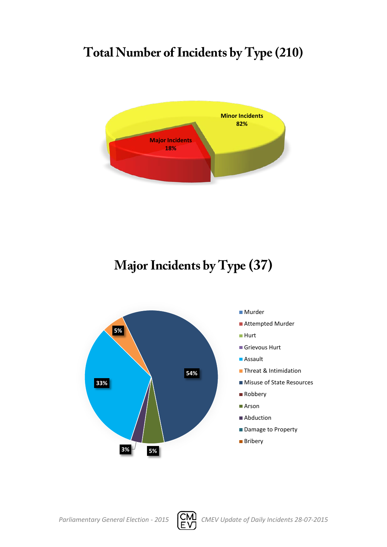# **Total Number of Incidents by Type (210)**



# **Major Incidents by Type (37)**



#### ■ Murder

- Attempted Murder
- Hurt
- Grievous Hurt
- Assault
- **Threat & Intimidation**
- Misuse of State Resources
- Robbery
- Arson
- Abduction
- Damage to Property
- **Bribery**